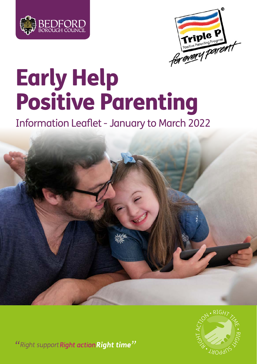



# Early Help Positive Parenting

Information Leaflet - January to March 2022





"Right support Right action Right time"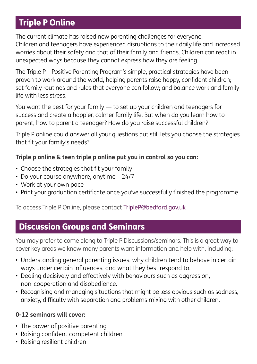### Triple P Online

The current climate has raised new parenting challenges for everyone. Children and teenagers have experienced disruptions to their daily life and increased worries about their safety and that of their family and friends. Children can react in unexpected ways because they cannot express how they are feeling.

The Triple P – Positive Parenting Program's simple, practical strategies have been proven to work around the world, helping parents raise happy, confident children; set family routines and rules that everyone can follow; and balance work and family life with less stress.

You want the best for your family — to set up your children and teenagers for success and create a happier, calmer family life. But when do you learn how to parent, how to parent a teenager? How do you raise successful children?

Triple P online could answer all your questions but still lets you choose the strategies that fit your family's needs?

### **Triple p online & teen triple p online put you in control so you can:**

- Choose the strategies that fit your family
- Do your course anywhere, anytime 24/7
- Work at your own pace
- Print your graduation certificate once you've successfully finished the programme

To access Triple P Online, please contact TripleP@bedford.gov.uk

### Discussion Groups and Seminars

You may prefer to come along to Triple P Discussions/seminars. This is a great way to cover key areas we know many parents want information and help with, including:

- Understanding general parenting issues, why children tend to behave in certain ways under certain influences, and what they best respond to.
- Dealing decisively and effectively with behaviours such as aggression, non-cooperation and disobedience.
- Recognising and managing situations that might be less obvious such as sadness, anxiety, difficulty with separation and problems mixing with other children.

### **0-12 seminars will cover:**

- The power of positive parenting
- Raising confident competent children
- Raising resilient children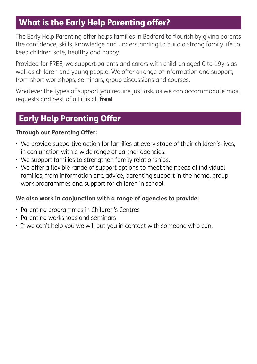### What is the Early Help Parenting offer?

The Early Help Parenting offer helps families in Bedford to flourish by giving parents the confidence, skills, knowledge and understanding to build a strong family life to keep children safe, healthy and happy.

Provided for FREE, we support parents and carers with children aged 0 to 19yrs as well as children and young people. We offer a range of information and support, from short workshops, seminars, group discussions and courses.

Whatever the types of support you require just ask, as we can accommodate most requests and best of all it is all **free!**

### Early Help Parenting Offer

#### **Through our Parenting Offer:**

- We provide supportive action for families at every stage of their children's lives, in conjunction with a wide range of partner agencies.
- We support families to strengthen family relationships.
- We offer a flexible range of support options to meet the needs of individual families, from information and advice, parenting support in the home, group work programmes and support for children in school.

### **We also work in conjunction with a range of agencies to provide:**

- Parenting programmes in Children's Centres
- Parenting workshops and seminars
- If we can't help you we will put you in contact with someone who can.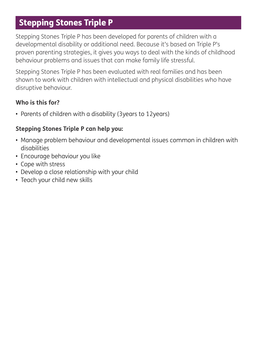### Stepping Stones Triple P

Stepping Stones Triple P has been developed for parents of children with a developmental disability or additional need. Because it's based on Triple P's proven parenting strategies, it gives you ways to deal with the kinds of childhood behaviour problems and issues that can make family life stressful.

Stepping Stones Triple P has been evaluated with real families and has been shown to work with children with intellectual and physical disabilities who have disruptive behaviour.

#### **Who is this for?**

• Parents of children with a disability (3years to 12years)

#### **Stepping Stones Triple P can help you:**

- Manage problem behaviour and developmental issues common in children with disabilities
- Encourage behaviour you like
- Cope with stress
- Develop a close relationship with your child
- Teach your child new skills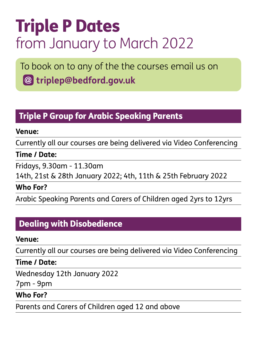## Triple P Dates from January to March 2022

To book on to any of the the courses email us on **triplep@bedford.gov.uk**

### Triple P Group for Arabic Speaking Parents

### **Venue:**

Currently all our courses are being delivered via Video Conferencing

### **Time / Date:**

Fridays, 9.30am - 11.30am

14th, 21st & 28th January 2022; 4th, 11th & 25th February 2022

### **Who For?**

Arabic Speaking Parents and Carers of Children aged 2yrs to 12yrs

### Dealing with Disobedience

### **Venue:**

Currently all our courses are being delivered via Video Conferencing

#### **Time / Date:**

Wednesday 12th January 2022

7pm - 9pm

### **Who For?**

Parents and Carers of Children aged 12 and above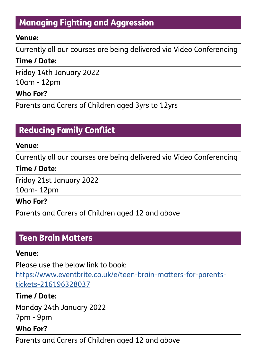### Managing Fighting and Aggression

### **Venue:**

Currently all our courses are being delivered via Video Conferencing

### **Time / Date:**

Friday 14th January 2022

10am - 12pm

### **Who For?**

Parents and Carers of Children aged 3yrs to 12yrs

### Reducing Family Conflict

#### **Venue:**

Currently all our courses are being delivered via Video Conferencing

### **Time / Date:**

Friday 21st January 2022

10am- 12pm

### **Who For?**

Parents and Carers of Children aged 12 and above

### Teen Brain Matters

### **Venue:**

Please use the below link to book:

[https://www.eventbrite.co.uk/e/teen-brain-matters-for-parents](https://www.eventbrite.co.uk/e/teen-brain-matters-for-parents-tickets-216196328037)[tickets-216196328037](https://www.eventbrite.co.uk/e/teen-brain-matters-for-parents-tickets-216196328037)

### **Time / Date:**

Monday 24th January 2022

7pm - 9pm

### **Who For?**

Parents and Carers of Children aged 12 and above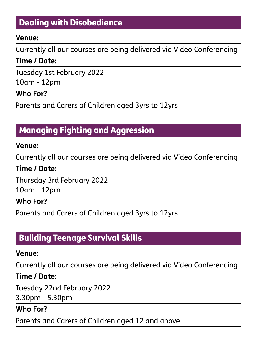### Dealing with Disobedience

#### **Venue:**

Currently all our courses are being delivered via Video Conferencing

### **Time / Date:**

Tuesday 1st February 2022

10am - 12pm

### **Who For?**

Parents and Carers of Children aged 3yrs to 12yrs

### Managing Fighting and Aggression

#### **Venue:**

Currently all our courses are being delivered via Video Conferencing

### **Time / Date:**

Thursday 3rd February 2022

10am - 12pm

#### **Who For?**

Parents and Carers of Children aged 3yrs to 12yrs

### Building Teenage Survival Skills

#### **Venue:**

Currently all our courses are being delivered via Video Conferencing

### **Time / Date:**

Tuesday 22nd February 2022

3.30pm - 5.30pm

### **Who For?**

Parents and Carers of Children aged 12 and above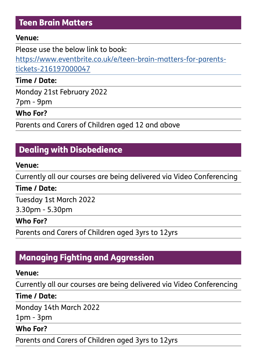### Teen Brain Matters

#### **Venue:**

Please use the below link to book.

[https://www.eventbrite.co.uk/e/teen-brain-matters-for-parents](https://www.eventbrite.co.uk/e/teen-brain-matters-for-parents-tickets-216197000047)[tickets-216197000047](https://www.eventbrite.co.uk/e/teen-brain-matters-for-parents-tickets-216197000047)

### **Time / Date:**

Monday 21st February 2022

7pm - 9pm

### **Who For?**

Parents and Carers of Children aged 12 and above

### Dealing with Disobedience

#### **Venue:**

Currently all our courses are being delivered via Video Conferencing

### **Time / Date:**

Tuesday 1st March 2022

3.30pm - 5.30pm

### **Who For?**

Parents and Carers of Children aged 3yrs to 12yrs

### Managing Fighting and Aggression

#### **Venue:**

Currently all our courses are being delivered via Video Conferencing

### **Time / Date:**

Monday 14th March 2022

1pm - 3pm

### **Who For?**

Parents and Carers of Children aged 3yrs to 12yrs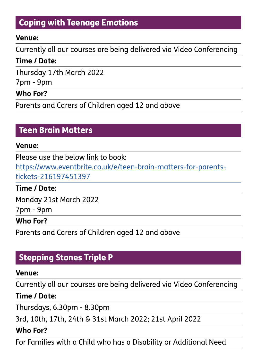### Coping with Teenage Emotions

#### **Venue:**

Currently all our courses are being delivered via Video Conferencing

### **Time / Date:**

Thursday 17th March 2022

7pm - 9pm

### **Who For?**

Parents and Carers of Children aged 12 and above

### Teen Brain Matters

#### **Venue:**

Please use the below link to book.

[https://www.eventbrite.co.uk/e/teen-brain-matters-for-parents](https://www.eventbrite.co.uk/e/teen-brain-matters-for-parents-tickets-216197451397)[tickets-216197451397](https://www.eventbrite.co.uk/e/teen-brain-matters-for-parents-tickets-216197451397)

**Time / Date:**

Monday 21st March 2022

7pm - 9pm

#### **Who For?**

Parents and Carers of Children aged 12 and above

### Stepping Stones Triple P

### **Venue:**

Currently all our courses are being delivered via Video Conferencing

**Time / Date:**

Thursdays, 6.30pm - 8.30pm

3rd, 10th, 17th, 24th & 31st March 2022; 21st April 2022

### **Who For?**

For Families with a Child who has a Disability or Additional Need